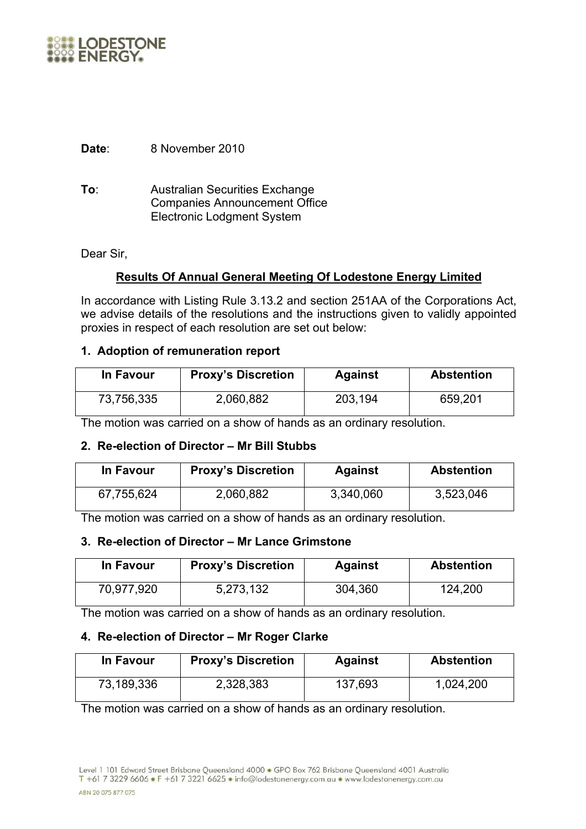

**Date**: 8 November 2010

**To**: Australian Securities Exchange Companies Announcement Office Electronic Lodgment System

Dear Sir,

## **Results Of Annual General Meeting Of Lodestone Energy Limited**

In accordance with Listing Rule 3.13.2 and section 251AA of the Corporations Act, we advise details of the resolutions and the instructions given to validly appointed proxies in respect of each resolution are set out below:

## **1. Adoption of remuneration report**

| In Favour  | <b>Proxy's Discretion</b> | <b>Against</b> | <b>Abstention</b> |
|------------|---------------------------|----------------|-------------------|
| 73,756,335 | 2,060,882                 | 203,194        | 659,201           |

The motion was carried on a show of hands as an ordinary resolution.

## **2. Re-election of Director – Mr Bill Stubbs**

| In Favour  | <b>Proxy's Discretion</b> | <b>Against</b> | <b>Abstention</b> |
|------------|---------------------------|----------------|-------------------|
| 67,755,624 | 2,060,882                 | 3,340,060      | 3,523,046         |

The motion was carried on a show of hands as an ordinary resolution.

## **3. Re-election of Director – Mr Lance Grimstone**

| In Favour  | <b>Proxy's Discretion</b> | <b>Against</b> | <b>Abstention</b> |
|------------|---------------------------|----------------|-------------------|
| 70,977,920 | 5,273,132                 | 304,360        | 124,200           |

The motion was carried on a show of hands as an ordinary resolution.

#### **4. Re-election of Director – Mr Roger Clarke**

| In Favour  | <b>Proxy's Discretion</b> | <b>Against</b> | <b>Abstention</b> |
|------------|---------------------------|----------------|-------------------|
| 73,189,336 | 2,328,383                 | 137,693        | 1,024,200         |

The motion was carried on a show of hands as an ordinary resolution.